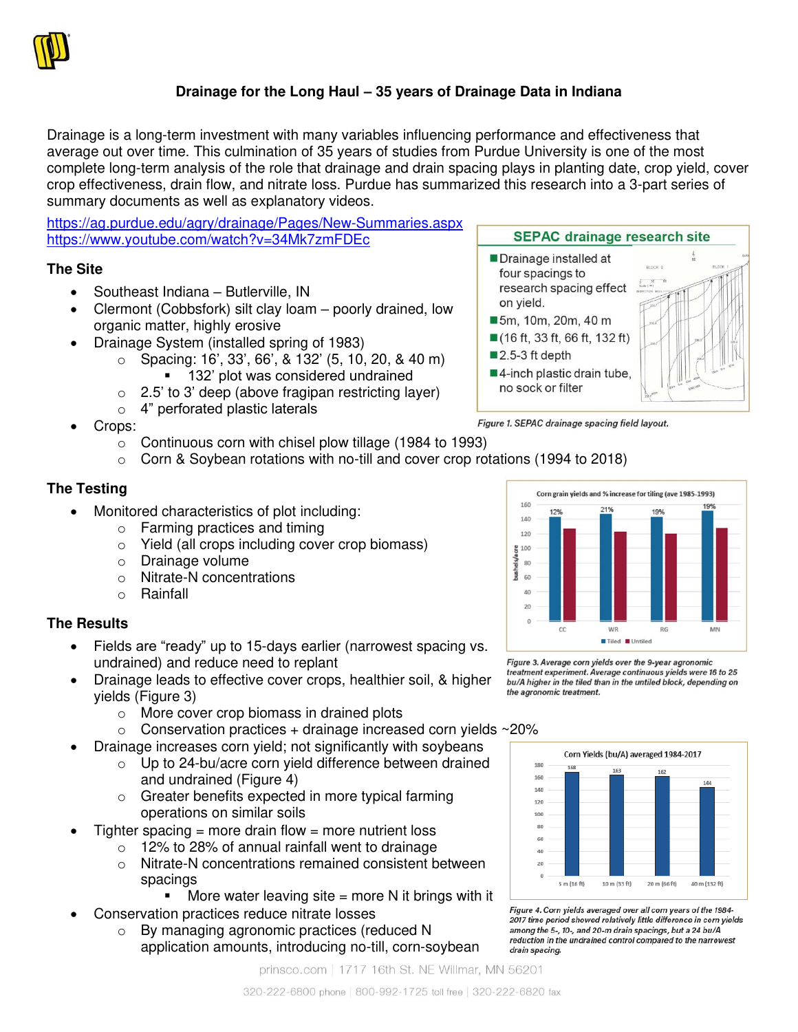

# **Drainage for the Long Haul – 35 years of Drainage Data in Indiana**

Drainage is a long-term investment with many variables influencing performance and effectiveness that average out over time. This culmination of 35 years of studies from Purdue University is one of the most complete long-term analysis of the role that drainage and drain spacing plays in planting date, crop yield, cover crop effectiveness, drain flow, and nitrate loss. Purdue has summarized this research into a 3-part series of summary documents as well as explanatory videos.

<https://ag.purdue.edu/agry/drainage/Pages/New-Summaries.aspx> <https://www.youtube.com/watch?v=34Mk7zmFDEc>

## **The Site**

- Southeast Indiana Butlerville, IN
- Clermont (Cobbsfork) silt clay loam poorly drained, low organic matter, highly erosive
- Drainage System (installed spring of 1983)
	- $\circ$  Spacing: 16', 33', 66', & 132' (5, 10, 20, & 40 m)
		- 132' plot was considered undrained
	- $\circ$  2.5' to 3' deep (above fragipan restricting layer)
	- o 4" perforated plastic laterals
- Crops:
	- $\circ$  Continuous corn with chisel plow tillage (1984 to 1993)
	- $\circ$  Corn & Soybean rotations with no-till and cover crop rotations (1994 to 2018)

## **The Testing**

- Monitored characteristics of plot including:
	- o Farming practices and timing
	- o Yield (all crops including cover crop biomass)
	- o Drainage volume
	- o Nitrate-N concentrations
	- o Rainfall

## **The Results**

- Fields are "ready" up to 15-days earlier (narrowest spacing vs. undrained) and reduce need to replant
- Drainage leads to effective cover crops, healthier soil, & higher yields (Figure 3)
	- o More cover crop biomass in drained plots
	- $\circ$  Conservation practices + drainage increased corn yields ~20%
- Drainage increases corn yield; not significantly with soybeans
	- o Up to 24-bu/acre corn yield difference between drained and undrained (Figure 4)
	- o Greater benefits expected in more typical farming operations on similar soils
- Tighter spacing = more drain flow = more nutrient loss
	- o 12% to 28% of annual rainfall went to drainage
	- o Nitrate-N concentrations remained consistent between spacings
		- $\blacksquare$  More water leaving site = more N it brings with it
- Conservation practices reduce nitrate losses
	- o By managing agronomic practices (reduced N application amounts, introducing no-till, corn-soybean

prinsco.com | 1717 16th St. NE Willmar, MN 56201



Drainage installed at four spacings to research spacing effect

■5m, 10m, 20m, 40 m ■ (16 ft, 33 ft, 66 ft, 132 ft)

■4-inch plastic drain tube, no sock or filter

on yield.

■2.5-3 ft depth



**SEPAC drainage research site** 

Figure 3. Average corn vields over the 9-vear agronomic treatment experiment. Average continuous yields were 16 to 25 bu/A higher in the tiled than in the untiled block, depending on the agronomic treatment.



Figure 4. Corn yields averaged over all corn years of the 1984-2017 time period showed relatively little difference in corn vields among the 5-, 10-, and 20-m drain spacings, but a 24 bu/A reduction in the undrained control compared to the narrowest drain spacing.

320-222-6800 phone | 800-992-1725 toll free | 320-222-6820 fax